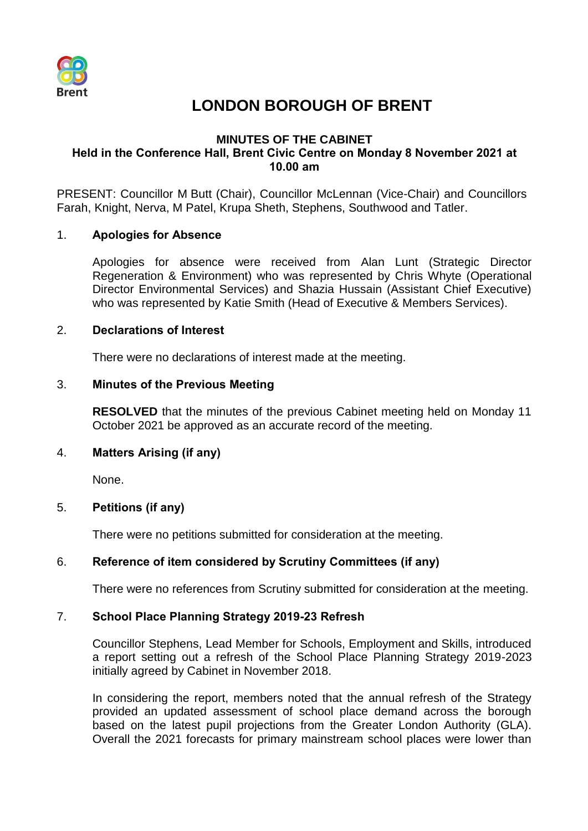

# **LONDON BOROUGH OF BRENT**

## **MINUTES OF THE CABINET Held in the Conference Hall, Brent Civic Centre on Monday 8 November 2021 at 10.00 am**

PRESENT: Councillor M Butt (Chair), Councillor McLennan (Vice-Chair) and Councillors Farah, Knight, Nerva, M Patel, Krupa Sheth, Stephens, Southwood and Tatler.

## 1. **Apologies for Absence**

Apologies for absence were received from Alan Lunt (Strategic Director Regeneration & Environment) who was represented by Chris Whyte (Operational Director Environmental Services) and Shazia Hussain (Assistant Chief Executive) who was represented by Katie Smith (Head of Executive & Members Services).

## 2. **Declarations of Interest**

There were no declarations of interest made at the meeting.

## 3. **Minutes of the Previous Meeting**

**RESOLVED** that the minutes of the previous Cabinet meeting held on Monday 11 October 2021 be approved as an accurate record of the meeting.

## 4. **Matters Arising (if any)**

None.

## 5. **Petitions (if any)**

There were no petitions submitted for consideration at the meeting.

# 6. **Reference of item considered by Scrutiny Committees (if any)**

There were no references from Scrutiny submitted for consideration at the meeting.

## 7. **School Place Planning Strategy 2019-23 Refresh**

Councillor Stephens, Lead Member for Schools, Employment and Skills, introduced a report setting out a refresh of the School Place Planning Strategy 2019-2023 initially agreed by Cabinet in November 2018.

In considering the report, members noted that the annual refresh of the Strategy provided an updated assessment of school place demand across the borough based on the latest pupil projections from the Greater London Authority (GLA). Overall the 2021 forecasts for primary mainstream school places were lower than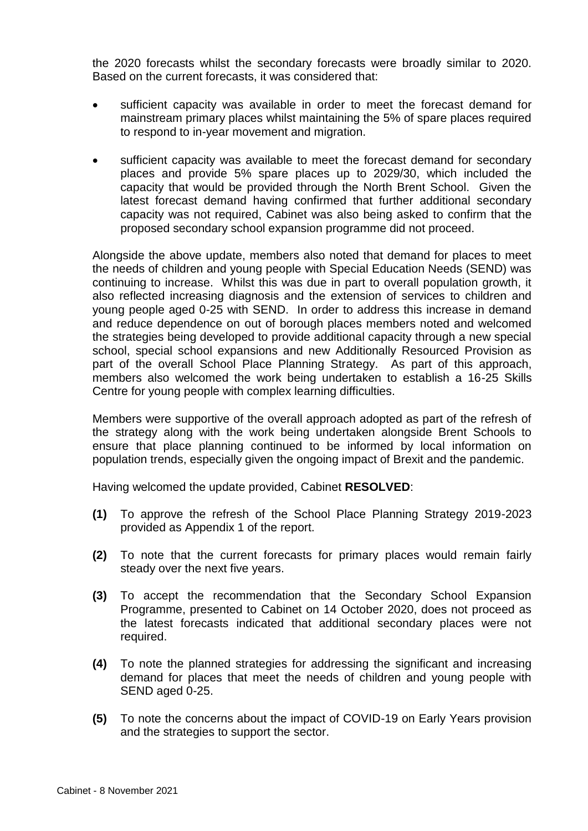the 2020 forecasts whilst the secondary forecasts were broadly similar to 2020. Based on the current forecasts, it was considered that:

- sufficient capacity was available in order to meet the forecast demand for mainstream primary places whilst maintaining the 5% of spare places required to respond to in-year movement and migration.
- sufficient capacity was available to meet the forecast demand for secondary places and provide 5% spare places up to 2029/30, which included the capacity that would be provided through the North Brent School. Given the latest forecast demand having confirmed that further additional secondary capacity was not required, Cabinet was also being asked to confirm that the proposed secondary school expansion programme did not proceed.

Alongside the above update, members also noted that demand for places to meet the needs of children and young people with Special Education Needs (SEND) was continuing to increase. Whilst this was due in part to overall population growth, it also reflected increasing diagnosis and the extension of services to children and young people aged 0-25 with SEND. In order to address this increase in demand and reduce dependence on out of borough places members noted and welcomed the strategies being developed to provide additional capacity through a new special school, special school expansions and new Additionally Resourced Provision as part of the overall School Place Planning Strategy. As part of this approach, members also welcomed the work being undertaken to establish a 16-25 Skills Centre for young people with complex learning difficulties.

Members were supportive of the overall approach adopted as part of the refresh of the strategy along with the work being undertaken alongside Brent Schools to ensure that place planning continued to be informed by local information on population trends, especially given the ongoing impact of Brexit and the pandemic.

Having welcomed the update provided, Cabinet **RESOLVED**:

- **(1)** To approve the refresh of the School Place Planning Strategy 2019-2023 provided as Appendix 1 of the report.
- **(2)** To note that the current forecasts for primary places would remain fairly steady over the next five years.
- **(3)** To accept the recommendation that the Secondary School Expansion Programme, presented to Cabinet on 14 October 2020, does not proceed as the latest forecasts indicated that additional secondary places were not required.
- **(4)** To note the planned strategies for addressing the significant and increasing demand for places that meet the needs of children and young people with SEND aged 0-25.
- **(5)** To note the concerns about the impact of COVID-19 on Early Years provision and the strategies to support the sector.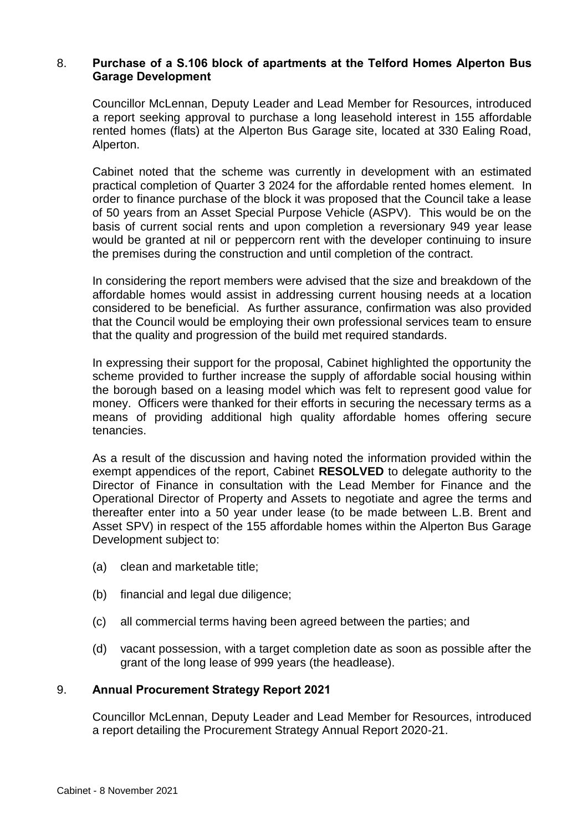## 8. **Purchase of a S.106 block of apartments at the Telford Homes Alperton Bus Garage Development**

Councillor McLennan, Deputy Leader and Lead Member for Resources, introduced a report seeking approval to purchase a long leasehold interest in 155 affordable rented homes (flats) at the Alperton Bus Garage site, located at 330 Ealing Road, Alperton.

Cabinet noted that the scheme was currently in development with an estimated practical completion of Quarter 3 2024 for the affordable rented homes element. In order to finance purchase of the block it was proposed that the Council take a lease of 50 years from an Asset Special Purpose Vehicle (ASPV). This would be on the basis of current social rents and upon completion a reversionary 949 year lease would be granted at nil or peppercorn rent with the developer continuing to insure the premises during the construction and until completion of the contract.

In considering the report members were advised that the size and breakdown of the affordable homes would assist in addressing current housing needs at a location considered to be beneficial. As further assurance, confirmation was also provided that the Council would be employing their own professional services team to ensure that the quality and progression of the build met required standards.

In expressing their support for the proposal, Cabinet highlighted the opportunity the scheme provided to further increase the supply of affordable social housing within the borough based on a leasing model which was felt to represent good value for money. Officers were thanked for their efforts in securing the necessary terms as a means of providing additional high quality affordable homes offering secure tenancies.

As a result of the discussion and having noted the information provided within the exempt appendices of the report, Cabinet **RESOLVED** to delegate authority to the Director of Finance in consultation with the Lead Member for Finance and the Operational Director of Property and Assets to negotiate and agree the terms and thereafter enter into a 50 year under lease (to be made between L.B. Brent and Asset SPV) in respect of the 155 affordable homes within the Alperton Bus Garage Development subject to:

- (a) clean and marketable title;
- (b) financial and legal due diligence;
- (c) all commercial terms having been agreed between the parties; and
- (d) vacant possession, with a target completion date as soon as possible after the grant of the long lease of 999 years (the headlease).

## 9. **Annual Procurement Strategy Report 2021**

Councillor McLennan, Deputy Leader and Lead Member for Resources, introduced a report detailing the Procurement Strategy Annual Report 2020-21.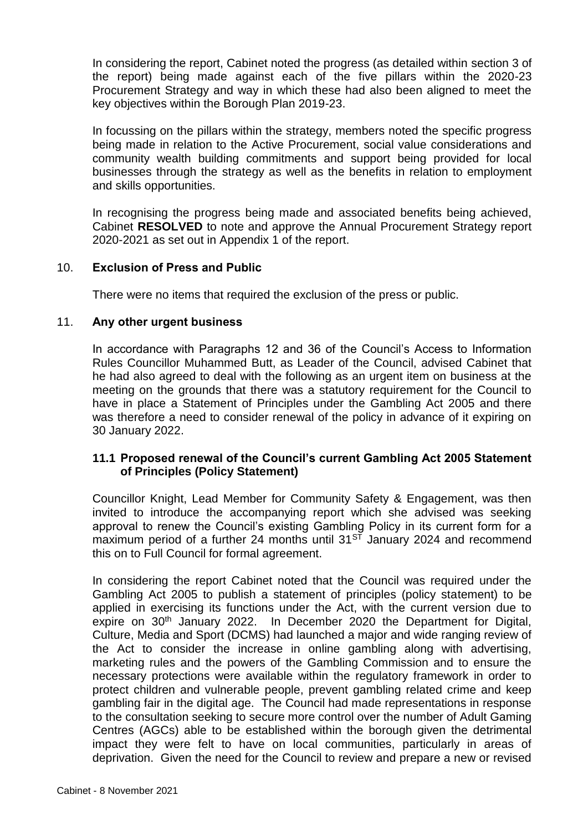In considering the report, Cabinet noted the progress (as detailed within section 3 of the report) being made against each of the five pillars within the 2020-23 Procurement Strategy and way in which these had also been aligned to meet the key objectives within the Borough Plan 2019-23.

In focussing on the pillars within the strategy, members noted the specific progress being made in relation to the Active Procurement, social value considerations and community wealth building commitments and support being provided for local businesses through the strategy as well as the benefits in relation to employment and skills opportunities.

In recognising the progress being made and associated benefits being achieved, Cabinet **RESOLVED** to note and approve the Annual Procurement Strategy report 2020-2021 as set out in Appendix 1 of the report.

## 10. **Exclusion of Press and Public**

There were no items that required the exclusion of the press or public.

#### 11. **Any other urgent business**

In accordance with Paragraphs 12 and 36 of the Council's Access to Information Rules Councillor Muhammed Butt, as Leader of the Council, advised Cabinet that he had also agreed to deal with the following as an urgent item on business at the meeting on the grounds that there was a statutory requirement for the Council to have in place a Statement of Principles under the Gambling Act 2005 and there was therefore a need to consider renewal of the policy in advance of it expiring on 30 January 2022.

## **11.1 Proposed renewal of the Council's current Gambling Act 2005 Statement of Principles (Policy Statement)**

Councillor Knight, Lead Member for Community Safety & Engagement, was then invited to introduce the accompanying report which she advised was seeking approval to renew the Council's existing Gambling Policy in its current form for a maximum period of a further 24 months until  $31<sup>ST</sup>$  January 2024 and recommend this on to Full Council for formal agreement.

In considering the report Cabinet noted that the Council was required under the Gambling Act 2005 to publish a statement of principles (policy statement) to be applied in exercising its functions under the Act, with the current version due to expire on 30<sup>th</sup> January 2022. In December 2020 the Department for Digital, Culture, Media and Sport (DCMS) had launched a major and wide ranging review of the Act to consider the increase in online gambling along with advertising, marketing rules and the powers of the Gambling Commission and to ensure the necessary protections were available within the regulatory framework in order to protect children and vulnerable people, prevent gambling related crime and keep gambling fair in the digital age. The Council had made representations in response to the consultation seeking to secure more control over the number of Adult Gaming Centres (AGCs) able to be established within the borough given the detrimental impact they were felt to have on local communities, particularly in areas of deprivation. Given the need for the Council to review and prepare a new or revised